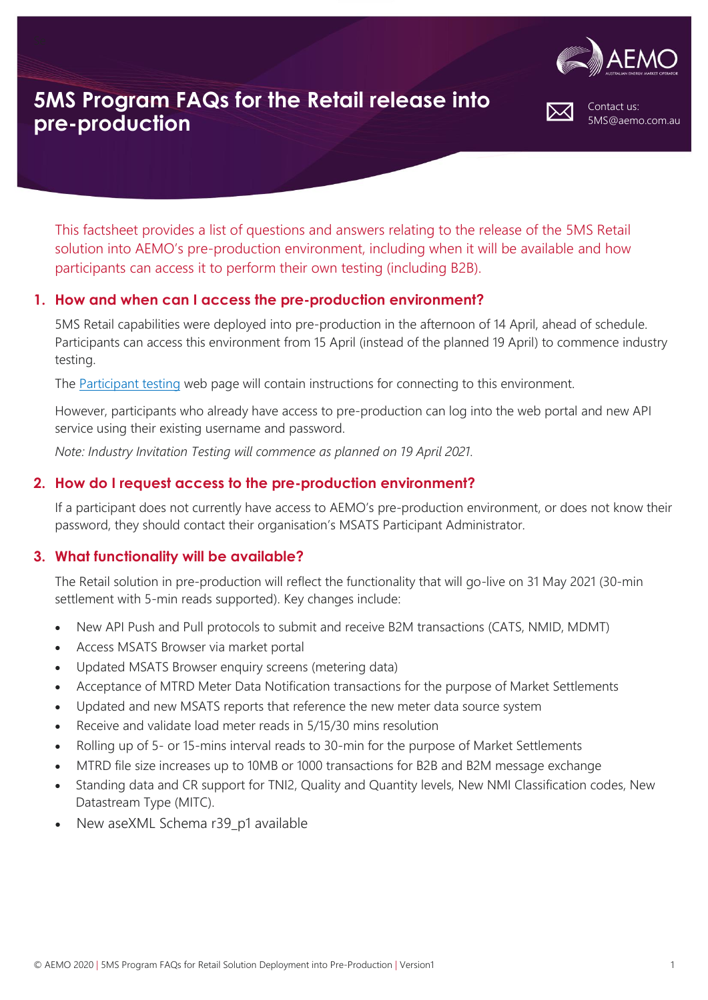

Contact us:

5MS@aemo.com.au

# **5MS Program FAQs for the Retail release into pre-production**

This factsheet provides a list of questions and answers relating to the release of the 5MS Retail solution into AEMO's pre-production environment, including when it will be available and how participants can access it to perform their own testing (including B2B).

## **1. How and when can I access the pre-production environment?**

5MS Retail capabilities were deployed into pre-production in the afternoon of 14 April, ahead of schedule. Participants can access this environment from 15 April (instead of the planned 19 April) to commence industry testing.

The [Participant testing](https://aemo.com.au/initiatives/major-programs/nem-five-minute-settlement-program-and-global-settlement/participant-testing/aemo-preproduction-environment) web page will contain instructions for connecting to this environment.

However, participants who already have access to pre-production can log into the web portal and new API service using their existing username and password.

*Note: Industry Invitation Testing will commence as planned on 19 April 2021.*

## **2. How do I request access to the pre-production environment?**

If a participant does not currently have access to AEMO's pre-production environment, or does not know their password, they should contact their organisation's MSATS Participant Administrator.

### **3. What functionality will be available?**

The Retail solution in pre-production will reflect the functionality that will go-live on 31 May 2021 (30-min settlement with 5-min reads supported). Key changes include:

- New API Push and Pull protocols to submit and receive B2M transactions (CATS, NMID, MDMT)
- Access MSATS Browser via market portal
- Updated MSATS Browser enquiry screens (metering data)
- Acceptance of MTRD Meter Data Notification transactions for the purpose of Market Settlements
- Updated and new MSATS reports that reference the new meter data source system
- Receive and validate load meter reads in 5/15/30 mins resolution
- Rolling up of 5- or 15-mins interval reads to 30-min for the purpose of Market Settlements
- MTRD file size increases up to 10MB or 1000 transactions for B2B and B2M message exchange
- Standing data and CR support for TNI2, Quality and Quantity levels, New NMI Classification codes, New Datastream Type (MITC).
- New aseXML Schema r39 p1 available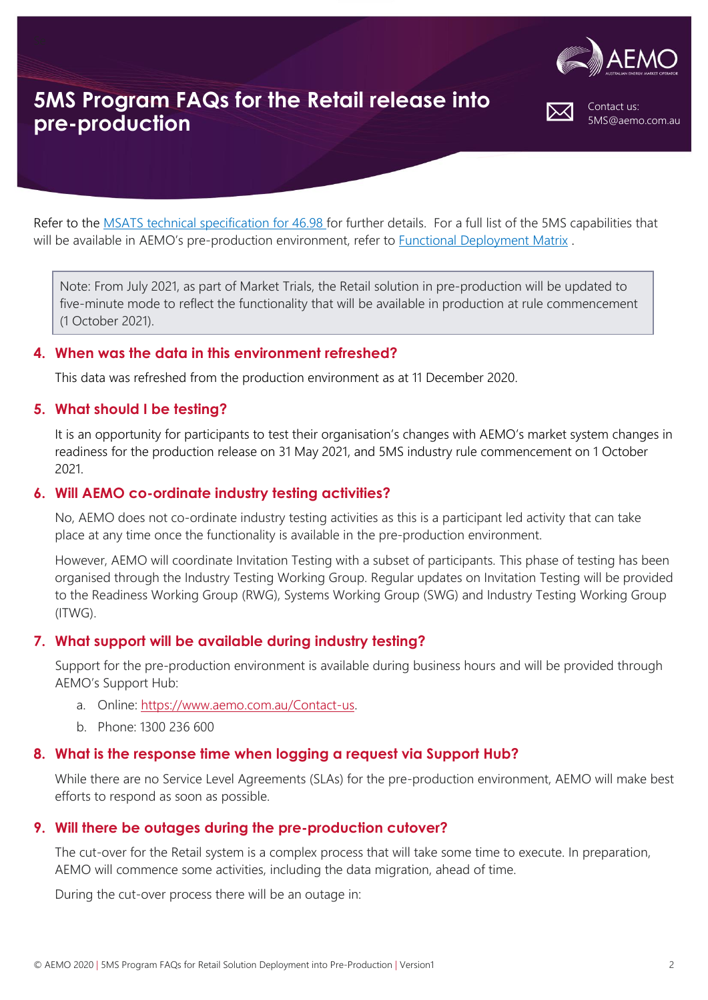

Contact us:

5MS@aemo.com.au

# **5MS Program FAQs for the Retail release into pre-production**

Refer to the [MSATS technical specification for 46.98](https://aemo.com.au/-/media/files/electricity/nem/5ms/systems-workstream/2020/msats-release-schedule-and-technical-specification-5ms-meter-data-v4.pdf?la=en&hash=80B5629DC09BDFCFBCB6EECCD6513F8E) for further details. For a full list of the 5MS capabilities that will be available in AEMO's pre-production environment, refer to [Functional Deployment Matrix](https://aemo.com.au/-/media/files/electricity/nem/5ms/program-management/aemo-5ms-functional-deployment-matrix.xlsx?la=en).

Note: From July 2021, as part of Market Trials, the Retail solution in pre-production will be updated to five-minute mode to reflect the functionality that will be available in production at rule commencement (1 October 2021).

#### **4. When was the data in this environment refreshed?**

This data was refreshed from the production environment as at 11 December 2020.

#### **5. What should I be testing?**

It is an opportunity for participants to test their organisation's changes with AEMO's market system changes in readiness for the production release on 31 May 2021, and 5MS industry rule commencement on 1 October 2021.

#### **6. Will AEMO co-ordinate industry testing activities?**

No, AEMO does not co-ordinate industry testing activities as this is a participant led activity that can take place at any time once the functionality is available in the pre-production environment.

However, AEMO will coordinate Invitation Testing with a subset of participants. This phase of testing has been organised through the Industry Testing Working Group. Regular updates on Invitation Testing will be provided to the Readiness Working Group (RWG), Systems Working Group (SWG) and Industry Testing Working Group (ITWG).

### **7. What support will be available during industry testing?**

Support for the pre-production environment is available during business hours and will be provided through AEMO's Support Hub:

- a. Online: [https://www.aemo.com.au/Contact-us.](https://www.aemo.com.au/Contact-us)
- b. Phone: 1300 236 600

#### **8. What is the response time when logging a request via Support Hub?**

While there are no Service Level Agreements (SLAs) for the pre-production environment, AEMO will make best efforts to respond as soon as possible.

### **9. Will there be outages during the pre-production cutover?**

The cut-over for the Retail system is a complex process that will take some time to execute. In preparation, AEMO will commence some activities, including the data migration, ahead of time.

During the cut-over process there will be an outage in: